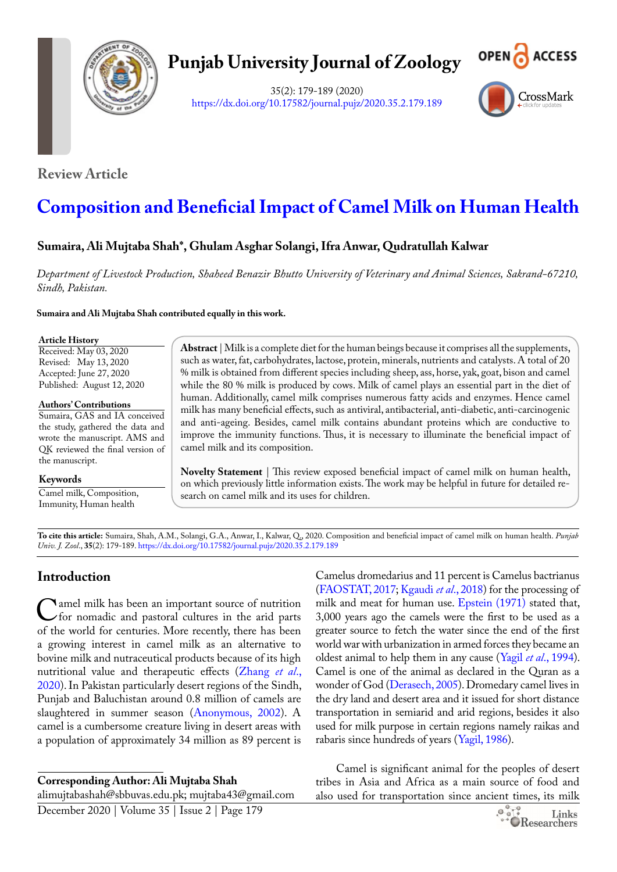

# **Punjab University Journal of Zoology**

35(2): 179-189 (2020) <https://dx.doi.org/10.17582/journal.pujz/2020.35.2.179.189>



**Review Article**

# **Composition and Beneficial Impact of Camel Milk on Human Health**

# **Sumaira, Ali Mujtaba Shah\*, Ghulam Asghar Solangi, Ifra Anwar, Qudratullah Kalwar**

*Department of Livestock Production, Shaheed Benazir Bhutto University of Veterinary and Animal Sciences, Sakrand-67210, Sindh, Pakistan.*

**Sumaira and Ali Mujtaba Shah contributed equally in this work.**

#### **Article History**

Received: May 03, 2020 Revised: May 13, 2020 Accepted: June 27, 2020 Published: August 12, 2020

**Authors' Contributions**

Sumaira, GAS and IA conceived the study, gathered the data and wrote the manuscript. AMS and QK reviewed the final version of the manuscript.

**Keywords**

Camel milk, Composition, Immunity, Human health

**Abstract** | Milk is a complete diet for the human beings because it comprises all the supplements, such as water, fat, carbohydrates, lactose, protein, minerals, nutrients and catalysts. A total of 20 % milk is obtained from different species including sheep, ass, horse, yak, goat, bison and camel while the 80 % milk is produced by cows. Milk of camel plays an essential part in the diet of human. Additionally, camel milk comprises numerous fatty acids and enzymes. Hence camel milk has many beneficial effects, such as antiviral, antibacterial, anti-diabetic, anti-carcinogenic and anti-ageing. Besides, camel milk contains abundant proteins which are conductive to improve the immunity functions. Thus, it is necessary to illuminate the beneficial impact of camel milk and its composition.

**Novelty Statement** | This review exposed beneficial impact of camel milk on human health, on which previously little information exists. The work may be helpful in future for detailed research on camel milk and its uses for children.

**To cite this article:** Sumaira, Shah, A.M., Solangi, G.A., Anwar, I., Kalwar, Q., 2020. Composition and beneficial impact of camel milk on human health. *Punjab Univ. J. Zool*., **35**(2): 179-189.<https://dx.doi.org/10.17582/journal.pujz/2020.35.2.179.189>

# **Introduction**

C amel milk has been an important source of nutrition<br>for nomadic and pastoral cultures in the arid parts<br>of the world for centuries More recently there has been of the world for centuries. More recently, there has been a growing interest in camel milk as an alternative to bovine milk and nutraceutical products because of its high nutritional value and therapeutic effects (Zhang *et al*., 2020). In Pakistan particularly desert regions of the Sindh, Punjab and Baluchistan around 0.8 million of camels are slaughtered in summer season ([Anonymous, 2002\)](#page-7-0). A camel is a cumbersome creature living in desert areas with a population of approximately 34 million as 89 percent is

**Corresponding Author: Ali Mujtaba Shah**

alimujtabashah@sbbuvas.edu.pk; mujtaba43@gmail.com

December 2020 | Volume 35 | Issue 2 | Page 179

Camelus dromedarius and 11 percent is Camelus bactrianus [\(FAOSTAT, 2017](#page-7-1); [Kgaudi](#page-8-0) *et al*., 2018) for the processing of milk and meat for human use. [Epstein \(1971\)](#page-7-2) stated that, 3,000 years ago the camels were the first to be used as a greater source to fetch the water since the end of the first world war with urbanization in armed forces they became an oldest animal to help them in any cause (Yagil *et al*., 1994). Camel is one of the animal as declared in the Quran as a wonder of God [\(Derasech, 2005](#page-7-3)). Dromedary camel lives in the dry land and desert area and it issued for short distance transportation in semiarid and arid regions, besides it also used for milk purpose in certain regions namely raikas and rabaris since hundreds of years (Yagil, 1986).

Camel is significant animal for the peoples of desert tribes in Asia and Africa as a main source of food and also used for transportation since ancient times, its milk

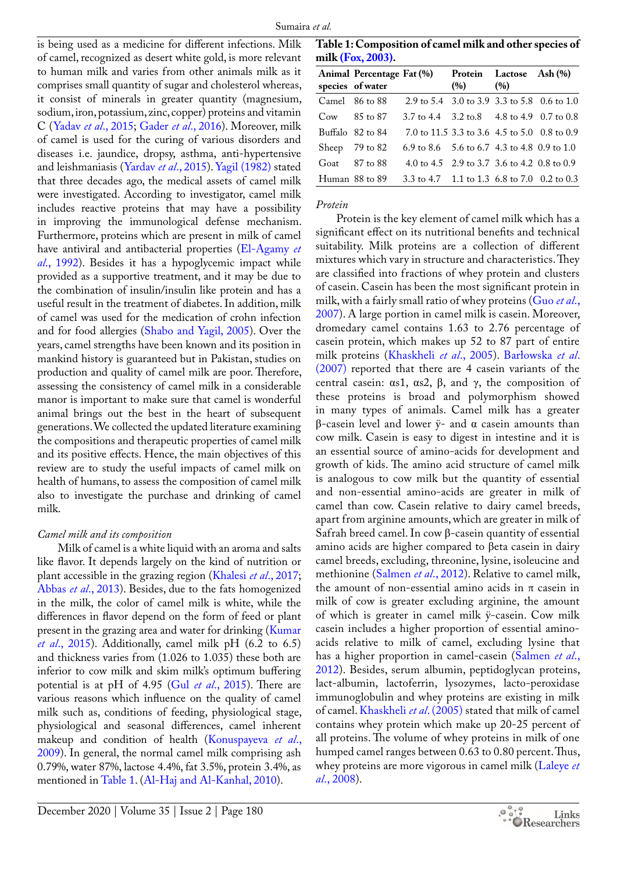is being used as a medicine for different infections. Milk of camel, recognized as desert white gold, is more relevant to human milk and varies from other animals milk as it comprises small quantity of sugar and cholesterol whereas, it consist of minerals in greater quantity (magnesium, sodium, iron, potassium, zinc, copper) proteins and vitamin C (Yadav *et al*., 2015; [Gader](#page-7-4) *et al*., 2016). Moreover, milk of camel is used for the curing of various disorders and diseases i.e. jaundice, dropsy, asthma, anti-hypertensive and leishmaniasis (Yardav *et al*., 2015). Yagil (1982) stated that three decades ago, the medical assets of camel milk were investigated. According to investigator, camel milk includes reactive proteins that may have a possibility in improving the immunological defense mechanism. Furthermore, proteins which are present in milk of camel have antiviral and antibacterial properties [\(El-Agamy](#page-7-5) *et al*[., 1992\)](#page-7-5). Besides it has a hypoglycemic impact while provided as a supportive treatment, and it may be due to the combination of insulin/insulin like protein and has a useful result in the treatment of diabetes. In addition, milk of camel was used for the medication of crohn infection and for food allergies (Shabo and Yagil, 2005). Over the years, camel strengths have been known and its position in mankind history is guaranteed but in Pakistan, studies on production and quality of camel milk are poor. Therefore, assessing the consistency of camel milk in a considerable manor is important to make sure that camel is wonderful animal brings out the best in the heart of subsequent generations. We collected the updated literature examining the compositions and therapeutic properties of camel milk and its positive effects. Hence, the main objectives of this review are to study the useful impacts of camel milk on health of humans, to assess the composition of camel milk also to investigate the purchase and drinking of camel milk.

### *Camel milk and its composition*

Milk of camel is a white liquid with an aroma and salts like flavor. It depends largely on the kind of nutrition or plant accessible in the grazing region [\(Khalesi](#page-8-1) *et al*., 2017; [Abbas](#page-6-0) *et al*., 2013). Besides, due to the fats homogenized in the milk, the color of camel milk is white, while the differences in flavor depend on the form of feed or plant present in the grazing area and water for drinking ([Kumar](#page-8-2)  *et al*[., 2015\)](#page-8-2). Additionally, camel milk pH (6.2 to 6.5) and thickness varies from (1.026 to 1.035) these both are inferior to cow milk and skim milk's optimum buffering potential is at pH of 4.95 (Gul *et al*[., 2015](#page-7-6)). There are various reasons which influence on the quality of camel milk such as, conditions of feeding, physiological stage, physiological and seasonal differences, camel inherent makeup and condition of health ([Konuspayeva](#page-8-3) *et al*., [2009\)](#page-8-3). In general, the normal camel milk comprising ash 0.79%, water 87%, lactose 4.4%, fat 3.5%, protein 3.4%, as mentioned in Table 1. ([Al-Haj and Al-Kanhal, 2010\)](#page-7-7).

**Table 1: Composition of camel milk and other species of milk ([Fox, 2003\)](#page-7-8).**

| Animal Percentage Fat (%)<br>species of water |                                              | (% ) | Protein Lactose Ash (%)<br>(%) |  |
|-----------------------------------------------|----------------------------------------------|------|--------------------------------|--|
| Camel 86 to 88                                | 2.9 to 5.4 3.0 to 3.9 3.3 to 5.8 0.6 to 1.0  |      |                                |  |
| $Cow$ 85 to 87                                | 3.7 to 4.4 3.2 to 8 4.8 to 4.9 0.7 to 0.8    |      |                                |  |
| Buffalo 82 to 84                              | 7.0 to 11.5 3.3 to 3.6 4.5 to 5.0 0.8 to 0.9 |      |                                |  |
| Sheep 79 to 82                                | 6.9 to 8.6 5.6 to 6.7 4.3 to 4.8 0.9 to 1.0  |      |                                |  |
| Goat $87$ to $88$                             | 4.0 to 4.5 2.9 to 3.7 3.6 to 4.2 0.8 to 0.9  |      |                                |  |
| Human 88 to 89                                | 3.3 to 4.7 1.1 to 1.3 6.8 to 7.0 0.2 to 0.3  |      |                                |  |
|                                               |                                              |      |                                |  |

#### *Protein*

Protein is the key element of camel milk which has a significant effect on its nutritional benefits and technical suitability. Milk proteins are a collection of different mixtures which vary in structure and characteristics. They are classified into fractions of whey protein and clusters of casein. Casein has been the most significant protein in milk, with a fairly small ratio of whey proteins ([Guo](#page-7-9) *et al*., [2007](#page-7-9)). A large portion in camel milk is casein. Moreover, dromedary camel contains 1.63 to 2.76 percentage of casein protein, which makes up 52 to 87 part of entire milk proteins ([Khaskheli](#page-8-4) *et al*., 2005). Barłowska *et al*. (2007) reported that there are 4 casein variants of the central casein: αs1, αs2, β, and γ, the composition of these proteins is broad and polymorphism showed in many types of animals. Camel milk has a greater β-casein level and lower ÿ- and α casein amounts than cow milk. Casein is easy to digest in intestine and it is an essential source of amino-acids for development and growth of kids. The amino acid structure of camel milk is analogous to cow milk but the quantity of essential and non-essential amino-acids are greater in milk of camel than cow. Casein relative to dairy camel breeds, apart from arginine amounts, which are greater in milk of Safrah breed camel. In cow β-casein quantity of essential amino acids are higher compared to βeta casein in dairy camel breeds, excluding, threonine, lysine, isoleucine and methionine (Salmen *et al*., 2012). Relative to camel milk, the amount of non-essential amino acids in  $\pi$  casein in milk of cow is greater excluding arginine, the amount of which is greater in camel milk ÿ-casein. Cow milk casein includes a higher proportion of essential aminoacids relative to milk of camel, excluding lysine that has a higher proportion in camel-casein (Salmen *et al*., 2012). Besides, serum albumin, peptidoglycan proteins, lact-albumin, lactoferrin, lysozymes, lacto-peroxidase immunoglobulin and whey proteins are existing in milk of camel. [Khaskheli](#page-8-4) *et al*. (2005) stated that milk of camel contains whey protein which make up 20-25 percent of all proteins. The volume of whey proteins in milk of one humped camel ranges between 0.63 to 0.80 percent. Thus, whey proteins are more vigorous in camel milk ([Laleye](#page-8-5) *et al*[., 2008](#page-8-5)).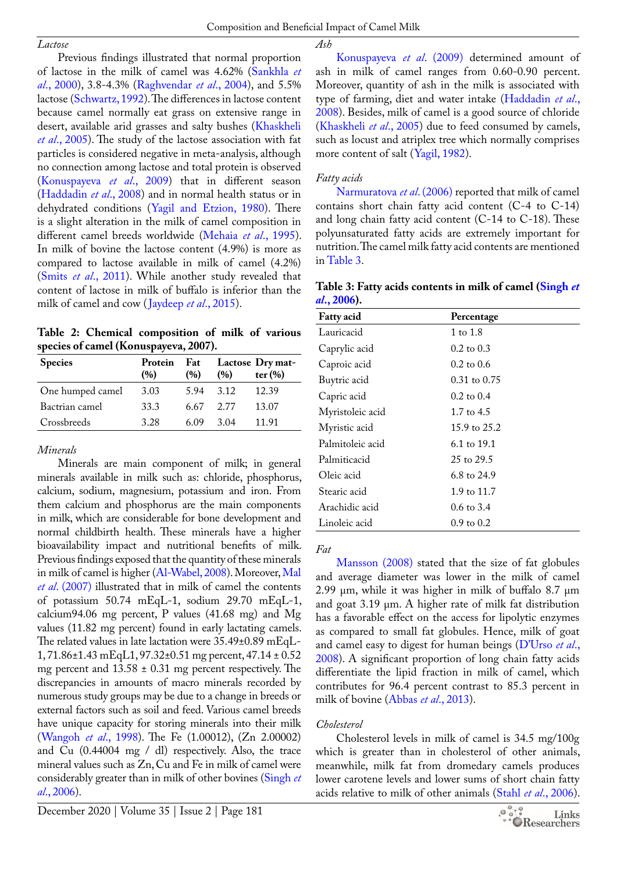Composition and Beneficial Impact of Camel Milk

*Ash*

Previous findings illustrated that normal proportion of lactose in the milk of camel was 4.62% (Sankhla *et al*., 2000), 3.8-4.3% (Raghvendar *et al*., 2004), and 5.5% lactose (Schwartz, 1992). The differences in lactose content because camel normally eat grass on extensive range in desert, available arid grasses and salty bushes [\(Khaskheli](#page-8-4)  *et al*[., 2005\)](#page-8-4). The study of the lactose association with fat particles is considered negative in meta-analysis, although no connection among lactose and total protein is observed ([Konuspayeva](#page-8-3) *et al*., 2009) that in different season ([Haddadin](#page-8-6) *et al*., 2008) and in normal health status or in dehydrated conditions (Yagil and Etzion, 1980). There is a slight alteration in the milk of camel composition in different camel breeds worldwide ([Mehaia](#page-9-0) *et al*., 1995). In milk of bovine the lactose content (4.9%) is more as compared to lactose available in milk of camel (4.2%) (Smits *et al*., 2011). While another study revealed that content of lactose in milk of buffalo is inferior than the milk of camel and cow ([Jaydeep](#page-8-7) *et al*., 2015).

**Table 2: Chemical composition of milk of various species of camel (Konuspayeva, 2007).**

| <b>Species</b>   | Protein<br>(%) | Fat<br>(%) | (96)  | Lactose Dry mat-<br>ter $(\% )$ |
|------------------|----------------|------------|-------|---------------------------------|
| One humped camel | 3.03           | 5.94       | 3.12  | 12.39                           |
| Bactrian camel   | 33.3           | 6.67       | 2.77  | 13.07                           |
| Crossbreeds      | 3.28           | 6.09       | 3 Q 4 | 11.91                           |

# *Minerals*

Minerals are main component of milk; in general minerals available in milk such as: chloride, phosphorus, calcium, sodium, magnesium, potassium and iron. From them calcium and phosphorus are the main components in milk, which are considerable for bone development and normal childbirth health. These minerals have a higher bioavailability impact and nutritional benefits of milk. Previous findings exposed that the quantity of these minerals in milk of camel is higher ([Al-Wabel, 2008\)](#page-7-10). Moreover, [Mal](#page-9-1)  *et al*[. \(2007\)](#page-9-1) illustrated that in milk of camel the contents of potassium 50.74 mEqL-1, sodium 29.70 mEqL-1, calcium94.06 mg percent, P values (41.68 mg) and Mg values (11.82 mg percent) found in early lactating camels. The related values in late lactation were 35.49±0.89 mEqL-1, 71.86±1.43 mEqL1, 97.32±0.51 mg percent, 47.14 ± 0.52 mg percent and  $13.58 \pm 0.31$  mg percent respectively. The discrepancies in amounts of macro minerals recorded by numerous study groups may be due to a change in breeds or external factors such as soil and feed. Various camel breeds have unique capacity for storing minerals into their milk (Wangoh *et al*., 1998). The Fe (1.00012), (Zn 2.00002) and Cu (0.44004 mg / dl) respectively. Also, the trace mineral values such as Zn, Cu and Fe in milk of camel were considerably greater than in milk of other bovines (Singh *et al*., 2006).

[Konuspayeva](#page-8-3) *et al*. (2009) determined amount of ash in milk of camel ranges from 0.60-0.90 percent. Moreover, quantity of ash in the milk is associated with type of farming, diet and water intake ([Haddadin](#page-8-6) *et al*., [2008\)](#page-8-6). Besides, milk of camel is a good source of chloride [\(Khaskheli](#page-8-4) *et al*., 2005) due to feed consumed by camels, such as locust and atriplex tree which normally comprises more content of salt (Yagil, 1982).

# *Fatty acids*

[Narmuratova](#page-9-2) *et al*. (2006) reported that milk of camel contains short chain fatty acid content (C-4 to C-14) and long chain fatty acid content (C-14 to C-18). These polyunsaturated fatty acids are extremely important for nutrition. The camel milk fatty acid contents are mentioned in Table 3.

**Table 3: Fatty acids contents in milk of camel (Singh** *et al***., 2006).**

| <b>Fatty</b> acid | Percentage            |  |  |  |
|-------------------|-----------------------|--|--|--|
| Lauricacid        | 1 to 1.8              |  |  |  |
| Caprylic acid     | $0.2 \text{ to } 0.3$ |  |  |  |
| Caproic acid      | $0.2 \text{ to } 0.6$ |  |  |  |
| Buytric acid      | $0.31$ to $0.75$      |  |  |  |
| Capric acid       | $0.2 \text{ to } 0.4$ |  |  |  |
| Myristoleic acid  | 1.7 to $4.5$          |  |  |  |
| Myristic acid     | 15.9 to 25.2          |  |  |  |
| Palmitoleic acid  | 6.1 to 19.1           |  |  |  |
| Palmiticacid      | 25 to 29.5            |  |  |  |
| Oleic acid        | 6.8 to 24.9           |  |  |  |
| Stearic acid      | 1.9 to 11.7           |  |  |  |
| Arachidic acid    | $0.6 \text{ to } 3.4$ |  |  |  |
| Linoleic acid     | $0.9 \text{ to } 0.2$ |  |  |  |

*Fat*

[Mansson \(2008\)](#page-9-3) stated that the size of fat globules and average diameter was lower in the milk of camel 2.99 μm, while it was higher in milk of buffalo 8.7 μm and goat 3.19 μm. A higher rate of milk fat distribution has a favorable effect on the access for lipolytic enzymes as compared to small fat globules. Hence, milk of goat and camel easy to digest for human beings (D'Urso *et al*., 2008). A significant proportion of long chain fatty acids differentiate the lipid fraction in milk of camel, which contributes for 96.4 percent contrast to 85.3 percent in milk of bovine [\(Abbas](#page-6-1) *et al*., 2013).

# *Cholesterol*

Cholesterol levels in milk of camel is 34.5 mg/100g which is greater than in cholesterol of other animals, meanwhile, milk fat from dromedary camels produces lower carotene levels and lower sums of short chain fatty acids relative to milk of other animals (Stahl *et al*., 2006).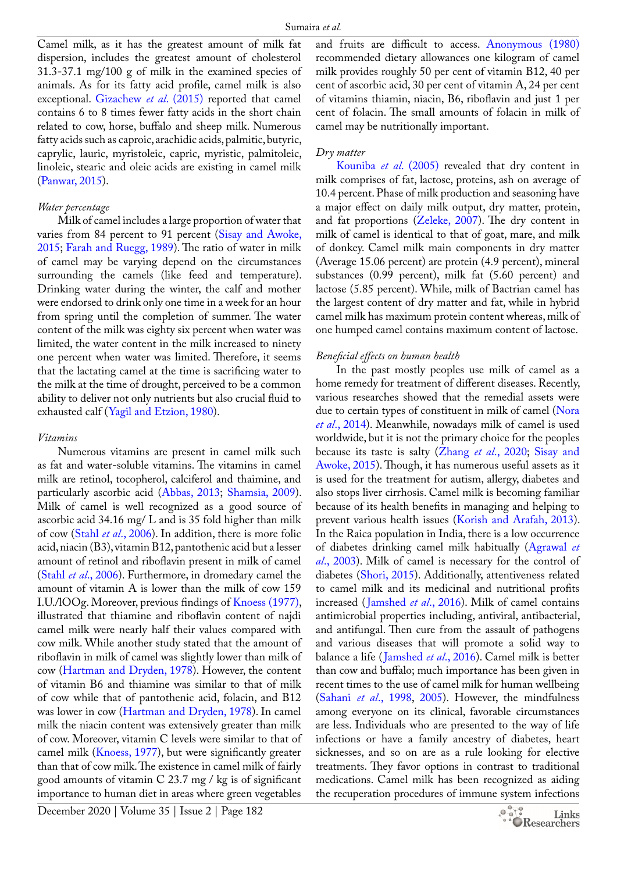Camel milk, as it has the greatest amount of milk fat dispersion, includes the greatest amount of cholesterol 31.3-37.1 mg/100 g of milk in the examined species of animals. As for its fatty acid profile, camel milk is also exceptional. [Gizachew](#page-7-11) *et al*. (2015) reported that camel contains 6 to 8 times fewer fatty acids in the short chain related to cow, horse, buffalo and sheep milk. Numerous fatty acids such as caproic, arachidic acids, palmitic, butyric, caprylic, lauric, myristoleic, capric, myristic, palmitoleic, linoleic, stearic and oleic acids are existing in camel milk ([Panwar, 2015\)](#page-9-4).

#### *Water percentage*

Milk of camel includes a large proportion of water that varies from 84 percent to 91 percent (Sisay and Awoke, 2015; [Farah and Ruegg, 1989](#page-7-12)). The ratio of water in milk of camel may be varying depend on the circumstances surrounding the camels (like feed and temperature). Drinking water during the winter, the calf and mother were endorsed to drink only one time in a week for an hour from spring until the completion of summer. The water content of the milk was eighty six percent when water was limited, the water content in the milk increased to ninety one percent when water was limited. Therefore, it seems that the lactating camel at the time is sacrificing water to the milk at the time of drought, perceived to be a common ability to deliver not only nutrients but also crucial fluid to exhausted calf (Yagil and Etzion, 1980).

#### *Vitamins*

Numerous vitamins are present in camel milk such as fat and water-soluble vitamins. The vitamins in camel milk are retinol, tocopherol, calciferol and thaimine, and particularly ascorbic acid [\(Abbas, 2013](#page-6-2); Shamsia, 2009). Milk of camel is well recognized as a good source of ascorbic acid 34.16 mg/ L and is 35 fold higher than milk of cow (Stahl *et al*., 2006). In addition, there is more folic acid, niacin (B3), vitamin B12, pantothenic acid but a lesser amount of retinol and riboflavin present in milk of camel (Stahl *et al*., 2006). Furthermore, in dromedary camel the amount of vitamin A is lower than the milk of cow 159 I.U./lOOg. Moreover, previous findings of [Knoess \(1977\),](#page-8-8) illustrated that thiamine and riboflavin content of najdi camel milk were nearly half their values compared with cow milk. While another study stated that the amount of riboflavin in milk of camel was slightly lower than milk of cow [\(Hartman and Dryden, 1978\)](#page-8-9). However, the content of vitamin B6 and thiamine was similar to that of milk of cow while that of pantothenic acid, folacin, and B12 was lower in cow ([Hartman and Dryden, 1978](#page-8-9)). In camel milk the niacin content was extensively greater than milk of cow. Moreover, vitamin C levels were similar to that of camel milk ([Knoess, 1977\)](#page-8-8), but were significantly greater than that of cow milk. The existence in camel milk of fairly good amounts of vitamin C 23.7 mg / kg is of significant importance to human diet in areas where green vegetables

December 2020 | Volume 35 | Issue 2 | Page 182

and fruits are difficult to access. [Anonymous \(1980\)](#page-7-13) recommended dietary allowances one kilogram of camel milk provides roughly 50 per cent of vitamin B12, 40 per cent of ascorbic acid, 30 per cent of vitamin A, 24 per cent of vitamins thiamin, niacin, B6, riboflavin and just 1 per cent of folacin. The small amounts of folacin in milk of camel may be nutritionally important.

#### *Dry matter*

[Kouniba](#page-8-10) *et al*. (2005) revealed that dry content in milk comprises of fat, lactose, proteins, ash on average of 10.4 percent. Phase of milk production and seasoning have a major effect on daily milk output, dry matter, protein, and fat proportions (Zeleke, 2007). The dry content in milk of camel is identical to that of goat, mare, and milk of donkey. Camel milk main components in dry matter (Average 15.06 percent) are protein (4.9 percent), mineral substances (0.99 percent), milk fat (5.60 percent) and lactose (5.85 percent). While, milk of Bactrian camel has the largest content of dry matter and fat, while in hybrid camel milk has maximum protein content whereas, milk of one humped camel contains maximum content of lactose.

#### *Beneficial effects on human health*

In the past mostly peoples use milk of camel as a home remedy for treatment of different diseases. Recently, various researches showed that the remedial assets were due to certain types of constituent in milk of camel ([Nora](#page-9-5) *et al*[., 2014](#page-9-5)). Meanwhile, nowadays milk of camel is used worldwide, but it is not the primary choice for the peoples because its taste is salty (Zhang *et al*., 2020; Sisay and Awoke, 2015). Though, it has numerous useful assets as it is used for the treatment for autism, allergy, diabetes and also stops liver cirrhosis. Camel milk is becoming familiar because of its health benefits in managing and helping to prevent various health issues ([Korish and Arafah, 2013\)](#page-8-11). In the Raica population in India, there is a low occurrence of diabetes drinking camel milk habitually ([Agrawal](#page-9-6) *et al*[., 2003\)](#page-9-6). Milk of camel is necessary for the control of diabetes (Shori, 2015). Additionally, attentiveness related to camel milk and its medicinal and nutritional profits increased ([Jamshed](#page-8-12) *et al*., 2016). Milk of camel contains antimicrobial properties including, antiviral, antibacterial, and antifungal. Then cure from the assault of pathogens and various diseases that will promote a solid way to balance a life ([Jamshed](#page-8-12) *et al*., 2016). Camel milk is better than cow and buffalo; much importance has been given in recent times to the use of camel milk for human wellbeing (Sahani *et al*., 1998, 2005). However, the mindfulness among everyone on its clinical, favorable circumstances are less. Individuals who are presented to the way of life infections or have a family ancestry of diabetes, heart sicknesses, and so on are as a rule looking for elective treatments. They favor options in contrast to traditional medications. Camel milk has been recognized as aiding the recuperation procedures of immune system infections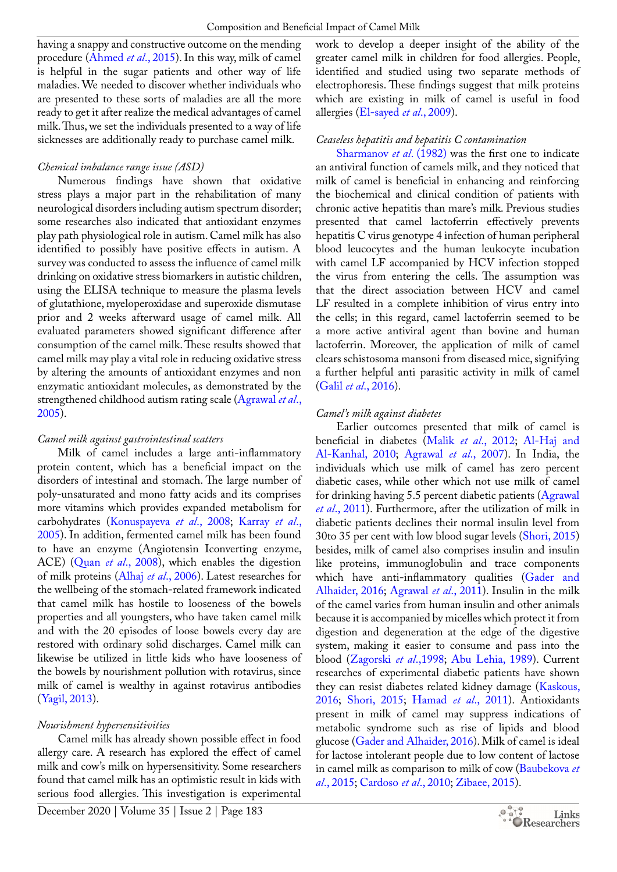having a snappy and constructive outcome on the mending procedure [\(Ahmed](#page-6-3) *et al*., 2015). In this way, milk of camel is helpful in the sugar patients and other way of life maladies. We needed to discover whether individuals who are presented to these sorts of maladies are all the more ready to get it after realize the medical advantages of camel milk. Thus, we set the individuals presented to a way of life sicknesses are additionally ready to purchase camel milk.

## *Chemical imbalance range issue (ASD)*

Numerous findings have shown that oxidative stress plays a major part in the rehabilitation of many neurological disorders including autism spectrum disorder; some researches also indicated that antioxidant enzymes play path physiological role in autism. Camel milk has also identified to possibly have positive effects in autism. A survey was conducted to assess the influence of camel milk drinking on oxidative stress biomarkers in autistic children, using the ELISA technique to measure the plasma levels of glutathione, myeloperoxidase and superoxide dismutase prior and 2 weeks afterward usage of camel milk. All evaluated parameters showed significant difference after consumption of the camel milk. These results showed that camel milk may play a vital role in reducing oxidative stress by altering the amounts of antioxidant enzymes and non enzymatic antioxidant molecules, as demonstrated by the strengthened childhood autism rating scale [\(Agrawal](#page-9-6) *et al*., [2005](#page-9-6)).

# *Camel milk against gastrointestinal scatters*

Milk of camel includes a large anti-inflammatory protein content, which has a beneficial impact on the disorders of intestinal and stomach. The large number of poly-unsaturated and mono fatty acids and its comprises more vitamins which provides expanded metabolism for carbohydrates [\(Konuspayeva](#page-8-13) *et al*., 2008; [Karray](#page-8-14) *et al*., [2005](#page-8-14)). In addition, fermented camel milk has been found to have an enzyme (Angiotensin Iconverting enzyme, ACE) (Quan *et al*., 2008), which enables the digestion of milk proteins (Alhaj *et al*[., 2006](#page-7-14)). Latest researches for the wellbeing of the stomach-related framework indicated that camel milk has hostile to looseness of the bowels properties and all youngsters, who have taken camel milk and with the 20 episodes of loose bowels every day are restored with ordinary solid discharges. Camel milk can likewise be utilized in little kids who have looseness of the bowels by nourishment pollution with rotavirus, since milk of camel is wealthy in against rotavirus antibodies (Yagil, 2013).

# *Nourishment hypersensitivities*

Camel milk has already shown possible effect in food allergy care. A research has explored the effect of camel milk and cow's milk on hypersensitivity. Some researchers found that camel milk has an optimistic result in kids with serious food allergies. This investigation is experimental

work to develop a deeper insight of the ability of the greater camel milk in children for food allergies. People, identified and studied using two separate methods of electrophoresis. These findings suggest that milk proteins which are existing in milk of camel is useful in food allergies ([El-sayed](#page-7-15) *et al*., 2009).

# *Ceaseless hepatitis and hepatitis C contamination*

Sharmanov *et al*. (1982) was the first one to indicate an antiviral function of camels milk, and they noticed that milk of camel is beneficial in enhancing and reinforcing the biochemical and clinical condition of patients with chronic active hepatitis than mare's milk. Previous studies presented that camel lactoferrin effectively prevents hepatitis C virus genotype 4 infection of human peripheral blood leucocytes and the human leukocyte incubation with camel LF accompanied by HCV infection stopped the virus from entering the cells. The assumption was that the direct association between HCV and camel LF resulted in a complete inhibition of virus entry into the cells; in this regard, camel lactoferrin seemed to be a more active antiviral agent than bovine and human lactoferrin. Moreover, the application of milk of camel clears schistosoma mansoni from diseased mice, signifying a further helpful anti parasitic activity in milk of camel (Galil *et al*[., 2016\)](#page-7-16).

# *Camel's milk against diabetes*

Earlier outcomes presented that milk of camel is beneficial in diabetes (Malik *et al*[., 2012;](#page-9-7) [Al-Haj and](#page-7-7) [Al-Kanhal, 2010](#page-7-7); [Agrawal](#page-6-4) *et al*., 2007). In India, the individuals which use milk of camel has zero percent diabetic cases, while other which not use milk of camel for drinking having 5.5 percent diabetic patients [\(Agrawal](#page-6-5) *et al*[., 2011](#page-6-5)). Furthermore, after the utilization of milk in diabetic patients declines their normal insulin level from 30to 35 per cent with low blood sugar levels (Shori, 2015) besides, milk of camel also comprises insulin and insulin like proteins, immunoglobulin and trace components which have anti-inflammatory qualities ([Gader and](#page-7-4) [Alhaider, 2016](#page-7-4); [Agrawal](#page-6-5) *et al*., 2011). Insulin in the milk of the camel varies from human insulin and other animals because it is accompanied by micelles which protect it from digestion and degeneration at the edge of the digestive system, making it easier to consume and pass into the blood (Zagorski *et al*.,1998; [Abu Lehia, 1989\)](#page-6-6). Current researches of experimental diabetic patients have shown they can resist diabetes related kidney damage [\(Kaskous,](#page-8-15) [2016;](#page-8-15) Shori, 2015; [Hamad](#page-8-16) *et al*., 2011). Antioxidants present in milk of camel may suppress indications of metabolic syndrome such as rise of lipids and blood glucose [\(Gader and Alhaider, 2016\)](#page-7-4). Milk of camel is ideal for lactose intolerant people due to low content of lactose in camel milk as comparison to milk of cow [\(Baubekova](#page-7-17) *et al*[., 2015](#page-7-17); [Cardoso](#page-7-18) *et al*., 2010; Zibaee, 2015).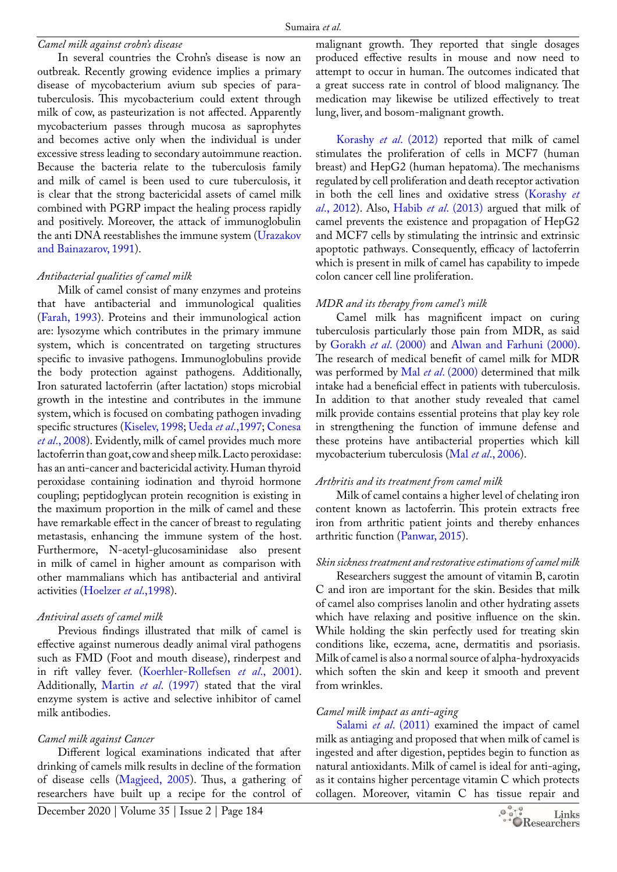#### *Camel milk against crohn's disease*

In several countries the Crohn's disease is now an outbreak. Recently growing evidence implies a primary disease of mycobacterium avium sub species of paratuberculosis. This mycobacterium could extent through milk of cow, as pasteurization is not affected. Apparently mycobacterium passes through mucosa as saprophytes and becomes active only when the individual is under excessive stress leading to secondary autoimmune reaction. Because the bacteria relate to the tuberculosis family and milk of camel is been used to cure tuberculosis, it is clear that the strong bactericidal assets of camel milk combined with PGRP impact the healing process rapidly and positively. Moreover, the attack of immunoglobulin the anti DNA reestablishes the immune system (Urazakov and Bainazarov, 1991).

## *Antibacterial qualities of camel milk*

Milk of camel consist of many enzymes and proteins that have antibacterial and immunological qualities ([Farah, 1993\)](#page-7-12). Proteins and their immunological action are: lysozyme which contributes in the primary immune system, which is concentrated on targeting structures specific to invasive pathogens. Immunoglobulins provide the body protection against pathogens. Additionally, Iron saturated lactoferrin (after lactation) stops microbial growth in the intestine and contributes in the immune system, which is focused on combating pathogen invading specific structures ([Kiselev, 1998](#page-8-17); Ueda *et al*.,1997; [Conesa](#page-7-19)  *et al*[., 2008](#page-7-19)). Evidently, milk of camel provides much more lactoferrin than goat, cow and sheep milk. Lacto peroxidase: has an anti-cancer and bactericidal activity. Human thyroid peroxidase containing iodination and thyroid hormone coupling; peptidoglycan protein recognition is existing in the maximum proportion in the milk of camel and these have remarkable effect in the cancer of breast to regulating metastasis, enhancing the immune system of the host. Furthermore, N-acetyl-glucosaminidase also present in milk of camel in higher amount as comparison with other mammalians which has antibacterial and antiviral activities ([Hoelzer](#page-8-18) *et al*.,1998).

# *Antiviral assets of camel milk*

Previous findings illustrated that milk of camel is effective against numerous deadly animal viral pathogens such as FMD (Foot and mouth disease), rinderpest and in rift valley fever. (Koerhler-Rollefsen *et al*., 2001). Additionally, Martin *et al*[. \(1997\)](#page-9-8) stated that the viral enzyme system is active and selective inhibitor of camel milk antibodies.

# *Camel milk against Cancer*

Different logical examinations indicated that after drinking of camels milk results in decline of the formation of disease cells [\(Magjeed, 2005](#page-8-5)). Thus, a gathering of researchers have built up a recipe for the control of

malignant growth. They reported that single dosages produced effective results in mouse and now need to attempt to occur in human. The outcomes indicated that a great success rate in control of blood malignancy. The medication may likewise be utilized effectively to treat lung, liver, and bosom-malignant growth.

[Korashy](#page-8-19) *et al*. (2012) reported that milk of camel stimulates the proliferation of cells in MCF7 (human breast) and HepG2 (human hepatoma). The mechanisms regulated by cell proliferation and death receptor activation in both the cell lines and oxidative stress [\(Korashy](#page-8-19) *et al*[., 2012\)](#page-8-19). Also, Habib *et al*[. \(2013\)](#page-8-20) argued that milk of camel prevents the existence and propagation of HepG2 and MCF7 cells by stimulating the intrinsic and extrinsic apoptotic pathways. Consequently, efficacy of lactoferrin which is present in milk of camel has capability to impede colon cancer cell line proliferation.

# *MDR and its therapy from camel's milk*

Camel milk has magnificent impact on curing tuberculosis particularly those pain from MDR, as said by [Gorakh](#page-7-20) *et al*. (2000) and [Alwan and Farhuni \(2000\)](#page-7-21). The research of medical benefit of camel milk for MDR was performed by Mal *et al*[. \(2000\)](#page-8-21) determined that milk intake had a beneficial effect in patients with tuberculosis. In addition to that another study revealed that camel milk provide contains essential proteins that play key role in strengthening the function of immune defense and these proteins have antibacterial properties which kill mycobacterium tuberculosis (Mal *et al*[., 2006](#page-8-22)).

# *Arthritis and its treatment from camel milk*

Milk of camel contains a higher level of chelating iron content known as lactoferrin. This protein extracts free iron from arthritic patient joints and thereby enhances arthritic function ([Panwar, 2015\)](#page-9-4).

# *Skin sickness treatment and restorative estimations of camel milk*

Researchers suggest the amount of vitamin B, carotin C and iron are important for the skin. Besides that milk of camel also comprises lanolin and other hydrating assets which have relaxing and positive influence on the skin. While holding the skin perfectly used for treating skin conditions like, eczema, acne, dermatitis and psoriasis. Milk of camel is also a normal source of alpha-hydroxyacids which soften the skin and keep it smooth and prevent from wrinkles.

### *Camel milk impact as anti-aging*

Salami *et al*. (2011) examined the impact of camel milk as antiaging and proposed that when milk of camel is ingested and after digestion, peptides begin to function as natural antioxidants. Milk of camel is ideal for anti-aging, as it contains higher percentage vitamin C which protects collagen. Moreover, vitamin C has tissue repair and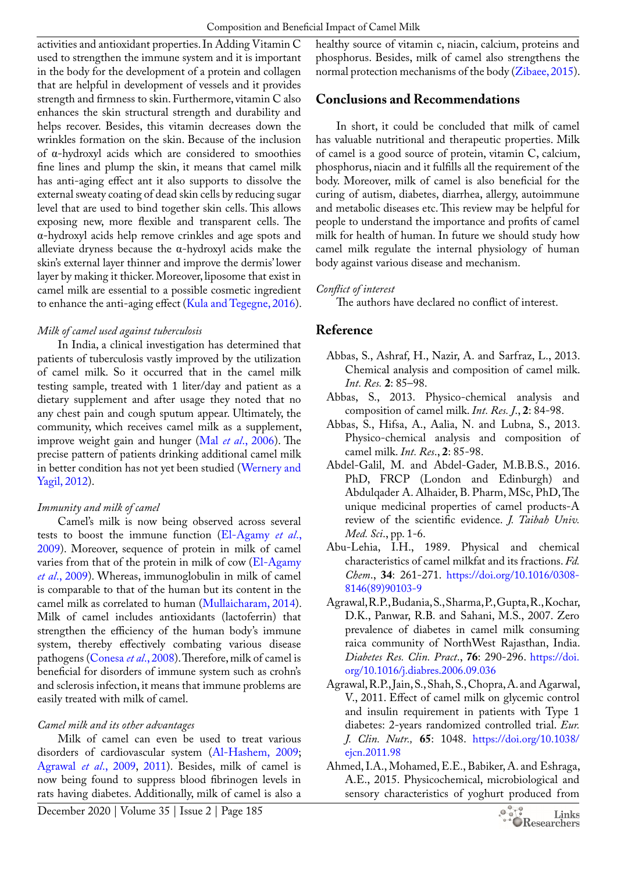activities and antioxidant properties. In Adding Vitamin C used to strengthen the immune system and it is important in the body for the development of a protein and collagen that are helpful in development of vessels and it provides strength and firmness to skin. Furthermore, vitamin C also enhances the skin structural strength and durability and helps recover. Besides, this vitamin decreases down the wrinkles formation on the skin. Because of the inclusion of α-hydroxyl acids which are considered to smoothies fine lines and plump the skin, it means that camel milk has anti-aging effect ant it also supports to dissolve the external sweaty coating of dead skin cells by reducing sugar level that are used to bind together skin cells. This allows exposing new, more flexible and transparent cells. The α-hydroxyl acids help remove crinkles and age spots and alleviate dryness because the  $\alpha$ -hydroxyl acids make the skin's external layer thinner and improve the dermis' lower layer by making it thicker. Moreover, liposome that exist in camel milk are essential to a possible cosmetic ingredient to enhance the anti-aging effect [\(Kula and Tegegne, 2016\)](#page-9-9).

## *Milk of camel used against tuberculosis*

In India, a clinical investigation has determined that patients of tuberculosis vastly improved by the utilization of camel milk. So it occurred that in the camel milk testing sample, treated with 1 liter/day and patient as a dietary supplement and after usage they noted that no any chest pain and cough sputum appear. Ultimately, the community, which receives camel milk as a supplement, improve weight gain and hunger (Mal *et al*[., 2006\)](#page-8-22). The precise pattern of patients drinking additional camel milk in better condition has not yet been studied (Wernery and Yagil, 2012).

# *Immunity and milk of camel*

Camel's milk is now being observed across several tests to boost the immune function [\(El-Agamy](#page-7-22) *et al*., [2009](#page-7-22)). Moreover, sequence of protein in milk of camel varies from that of the protein in milk of cow ([El-Agamy](#page-7-22)  *et al*[., 2009\)](#page-7-22). Whereas, immunoglobulin in milk of camel is comparable to that of the human but its content in the camel milk as correlated to human ([Mullaicharam, 2014\)](#page-9-0). Milk of camel includes antioxidants (lactoferrin) that strengthen the efficiency of the human body's immune system, thereby effectively combating various disease pathogens ([Conesa](#page-7-19) *et al*., 2008). Therefore, milk of camel is beneficial for disorders of immune system such as crohn's and sclerosis infection, it means that immune problems are easily treated with milk of camel.

# *Camel milk and its other advantages*

Milk of camel can even be used to treat various disorders of cardiovascular system ([Al-Hashem, 2009](#page-7-23); [Agrawal](#page-9-6) *et al*., 2009, [2011\)](#page-6-5). Besides, milk of camel is now being found to suppress blood fibrinogen levels in rats having diabetes. Additionally, milk of camel is also a healthy source of vitamin c, niacin, calcium, proteins and phosphorus. Besides, milk of camel also strengthens the normal protection mechanisms of the body (Zibaee, 2015).

# **Conclusions and Recommendations**

In short, it could be concluded that milk of camel has valuable nutritional and therapeutic properties. Milk of camel is a good source of protein, vitamin C, calcium, phosphorus, niacin and it fulfills all the requirement of the body. Moreover, milk of camel is also beneficial for the curing of autism, diabetes, diarrhea, allergy, autoimmune and metabolic diseases etc. This review may be helpful for people to understand the importance and profits of camel milk for health of human. In future we should study how camel milk regulate the internal physiology of human body against various disease and mechanism.

# *Conflict of interest*

The authors have declared no conflict of interest.

# **Reference**

- <span id="page-6-0"></span>Abbas, S., Ashraf, H., Nazir, A. and Sarfraz, L., 2013. Chemical analysis and composition of camel milk. *Int. Res.* **2**: 85–98.
- <span id="page-6-2"></span>Abbas, S., 2013. Physico-chemical analysis and composition of camel milk. *Int. Res. J*., **2**: 84-98.
- <span id="page-6-1"></span>Abbas, S., Hifsa, A., Aalia, N. and Lubna, S., 2013. Physico-chemical analysis and composition of camel milk. *Int. Res*., **2**: 85-98.
- Abdel-Galil, M. and Abdel-Gader, M.B.B.S., 2016. PhD, FRCP (London and Edinburgh) and Abdulqader A. Alhaider, B. Pharm, MSc, PhD, The unique medicinal properties of camel products-A review of the scientific evidence. *J. Taibah Univ. Med. Sci*., pp. 1-6.
- <span id="page-6-6"></span>Abu-Lehia, I.H., 1989. Physical and chemical characteristics of camel milkfat and its fractions. *Fd. Chem*., **34**: 261-271. [https://doi.org/10.1016/0308-](https://doi.org/10.1016/0308-8146(89)90103-9) [8146\(89\)90103-9](https://doi.org/10.1016/0308-8146(89)90103-9)
- <span id="page-6-4"></span>Agrawal, R.P., Budania, S., Sharma, P., Gupta, R., Kochar, D.K., Panwar, R.B. and Sahani, M.S., 2007. Zero prevalence of diabetes in camel milk consuming raica community of NorthWest Rajasthan, India. *Diabetes Res. Clin. Pract*., **76**: 290-296. [https://doi.](https://doi.org/10.1016/j.diabres.2006.09.036) [org/10.1016/j.diabres.2006.09.036](https://doi.org/10.1016/j.diabres.2006.09.036)
- <span id="page-6-5"></span>Agrawal, R.P., Jain, S., Shah, S., Chopra, A. and Agarwal, V., 2011. Effect of camel milk on glycemic control and insulin requirement in patients with Type 1 diabetes: 2-years randomized controlled trial. *Eur. J. Clin. Nutr.,* **65**: 1048. [https://doi.org/10.1038/](https://doi.org/10.1038/ejcn.2011.98) [ejcn.2011.98](https://doi.org/10.1038/ejcn.2011.98)
- <span id="page-6-3"></span>Ahmed, I.A., Mohamed, E.E., Babiker, A. and Eshraga, A.E., 2015. Physicochemical, microbiological and sensory characteristics of yoghurt produced from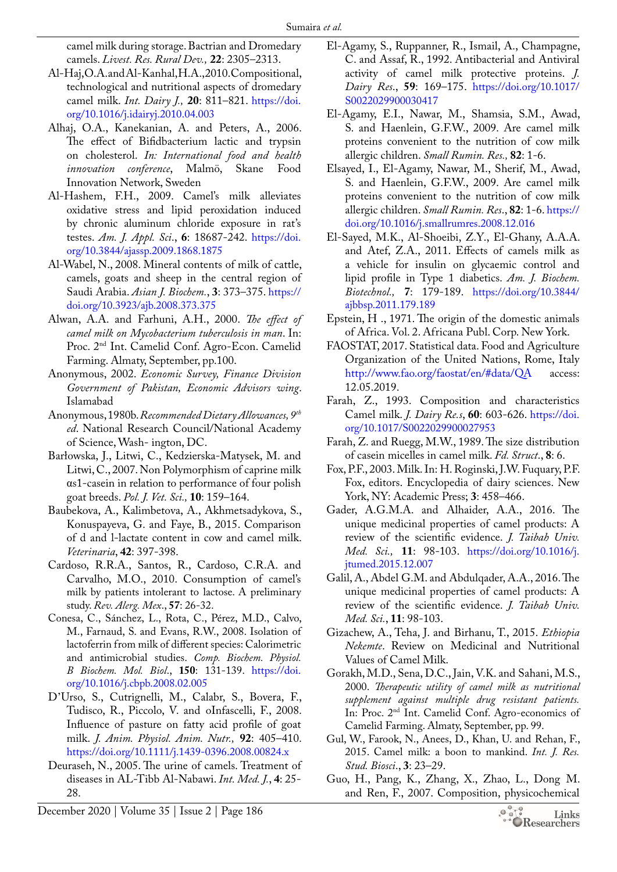camel milk during storage. Bactrian and Dromedary camels. *Livest. Res. Rural Dev.,* **22**: 2305–2313.

- <span id="page-7-7"></span>Al-Haj, O.A. and Al-Kanhal, H.A., 2010. Compositional, technological and nutritional aspects of dromedary camel milk. *Int. Dairy J.,* **20**: 811–821. [https://doi.](https://doi.org/10.1016/j.idairyj.2010.04.003) [org/10.1016/j.idairyj.2010.04.003](https://doi.org/10.1016/j.idairyj.2010.04.003)
- <span id="page-7-14"></span>Alhaj, O.A., Kanekanian, A. and Peters, A., 2006. The effect of Bifidbacterium lactic and trypsin on cholesterol. *In: International food and health innovation conference*, Malmö, Skane Food Innovation Network, Sweden
- <span id="page-7-23"></span>Al-Hashem, F.H., 2009. Camel's milk alleviates oxidative stress and lipid peroxidation induced by chronic aluminum chloride exposure in rat's testes. *Am. J. Appl. Sci*., **6**: 18687-242. [https://doi.](https://doi.org/10.3844/ajassp.2009.1868.1875) [org/10.3844/ajassp.2009.1868.1875](https://doi.org/10.3844/ajassp.2009.1868.1875)
- <span id="page-7-10"></span>Al-Wabel, N., 2008. Mineral contents of milk of cattle, camels, goats and sheep in the central region of Saudi Arabia. *Asian J. Biochem.*, **3**: 373–375. [https://](https://doi.org/10.3923/ajb.2008.373.375) [doi.org/10.3923/ajb.2008.373.375](https://doi.org/10.3923/ajb.2008.373.375)
- <span id="page-7-21"></span>Alwan, A.A. and Farhuni, A.H., 2000. *The effect of camel milk on Mycobacterium tuberculosis in man*. In: Proc. 2nd Int. Camelid Conf. Agro-Econ. Camelid Farming. Almaty, September, pp.100.
- <span id="page-7-0"></span>Anonymous, 2002. *Economic Survey, Finance Division Government of Pakistan, Economic Advisors wing*. Islamabad
- <span id="page-7-13"></span>Anonymous, 1980b. *Recommended Dietary Allowances, 9th ed*. National Research Council/National Academy of Science, Wash- ington, DC.
- Barłowska, J., Litwi, C., Kedzierska-Matysek, M. and Litwi, C., 2007. Non Polymorphism of caprine milk αs1-casein in relation to performance of four polish goat breeds. *Pol. J. Vet. Sci.,* **10**: 159–164.
- <span id="page-7-17"></span>Baubekova, A., Kalimbetova, A., Akhmetsadykova, S., Konuspayeva, G. and Faye, B., 2015. Comparison of d and l-lactate content in cow and camel milk. *Veterinaria*, **42**: 397-398.
- <span id="page-7-18"></span>Cardoso, R.R.A., Santos, R., Cardoso, C.R.A. and Carvalho, M.O., 2010. Consumption of camel's milk by patients intolerant to lactose. A preliminary study. *Rev. Alerg. Mex*., **57**: 26-32.
- Conesa, C., Sánchez, L., Rota, C., Pérez, M.D., Calvo, M., Farnaud, S. and Evans, R.W., 2008. Isolation of lactoferrin from milk of different species: Calorimetric and antimicrobial studies. *Comp. Biochem. Physiol. B Biochem. Mol. Biol*., **150**: 131-139. [https://doi.](https://doi.org/10.1016/j.cbpb.2008.02.005) [org/10.1016/j.cbpb.2008.02.005](https://doi.org/10.1016/j.cbpb.2008.02.005)
- <span id="page-7-19"></span>D'Urso, S., Cutrignelli, M., Calabr, S., Bovera, F., Tudisco, R., Piccolo, V. and oInfascelli, F., 2008. Influence of pasture on fatty acid profile of goat milk. *J. Anim. Physiol. Anim. Nutr.,* **92**: 405–410. <https://doi.org/10.1111/j.1439-0396.2008.00824.x>
- <span id="page-7-3"></span>Deuraseh, N., 2005. The urine of camels. Treatment of diseases in AL-Tibb Al-Nabawi. *Int. Med. J.*, **4**: 25- 28.
- <span id="page-7-5"></span>El-Agamy, S., Ruppanner, R., Ismail, A., Champagne, C. and Assaf, R., 1992. Antibacterial and Antiviral activity of camel milk protective proteins. *J. Dairy Res*., **59**: 169–175. [https://doi.org/10.1017/](https://doi.org/10.1017/S0022029900030417) [S0022029900030417](https://doi.org/10.1017/S0022029900030417)
- <span id="page-7-22"></span>El-Agamy, E.I., Nawar, M., Shamsia, S.M., Awad, S. and Haenlein, G.F.W., 2009. Are camel milk proteins convenient to the nutrition of cow milk allergic children. *Small Rumin. Res.,* **82**: 1-6.
- <span id="page-7-15"></span>Elsayed, I., El-Agamy, Nawar, M., Sherif, M., Awad, S. and Haenlein, G.F.W., 2009. Are camel milk proteins convenient to the nutrition of cow milk allergic children. *Small Rumin. Res*., **82**: 1-6. [https://](https://doi.org/10.1016/j.smallrumres.2008.12.016) [doi.org/10.1016/j.smallrumres.2008.12.016](https://doi.org/10.1016/j.smallrumres.2008.12.016)
- El-Sayed, M.K., Al-Shoeibi, Z.Y., El-Ghany, A.A.A. and Atef, Z.A., 2011. Effects of camels milk as a vehicle for insulin on glycaemic control and lipid profile in Type 1 diabetics. *Am. J. Biochem. Biotechnol.,* **7**: 179-189. [https://doi.org/10.3844/](https://doi.org/10.3844/ajbbsp.2011.179.189) [ajbbsp.2011.179.189](https://doi.org/10.3844/ajbbsp.2011.179.189)
- <span id="page-7-2"></span>Epstein, H ., 1971. The origin of the domestic animals of Africa. Vol. 2. Africana Publ. Corp. New York.
- <span id="page-7-1"></span>FAOSTAT, 2017. Statistical data. Food and Agriculture Organization of the United Nations, Rome, Italy <http://www.fao.org/faostat/en/#data/QA> access: 12.05.2019.
- Farah, Z., 1993. Composition and characteristics Camel milk. *J. Dairy Re.s*, **60**: 603-626. [https://doi.](https://doi.org/10.1017/S0022029900027953) [org/10.1017/S0022029900027953](https://doi.org/10.1017/S0022029900027953)
- <span id="page-7-12"></span>Farah, Z. and Ruegg, M.W., 1989. The size distribution of casein micelles in camel milk. *Fd. Struct*., **8**: 6.
- <span id="page-7-8"></span>Fox, P.F., 2003. Milk. In: H. Roginski, J.W. Fuquary, P.F. Fox, editors. Encyclopedia of dairy sciences. New York, NY: Academic Press; **3**: 458–466.
- <span id="page-7-4"></span>Gader, A.G.M.A. and Alhaider, A.A., 2016. The unique medicinal properties of camel products: A review of the scientific evidence. *J. Taibah Univ. Med. Sci.,* **11**: 98-103. [https://doi.org/10.1016/j.](https://doi.org/10.1016/j.jtumed.2015.12.007) [jtumed.2015.12.007](https://doi.org/10.1016/j.jtumed.2015.12.007)
- <span id="page-7-16"></span>Galil, A., Abdel G.M. and Abdulqader, A.A., 2016. The unique medicinal properties of camel products: A review of the scientific evidence. *J. Taibah Univ. Med. Sci.*, **11**: 98-103.
- <span id="page-7-11"></span>Gizachew, A., Teha, J. and Birhanu, T., 2015. *Ethiopia Nekemte*. Review on Medicinal and Nutritional Values of Camel Milk.
- <span id="page-7-20"></span>Gorakh, M.D., Sena, D.C., Jain, V.K. and Sahani, M.S., 2000. *Therapeutic utility of camel milk as nutritional supplement against multiple drug resistant patients.* In: Proc. 2nd Int. Camelid Conf. Agro-economics of Camelid Farming. Almaty, September, pp. 99.
- <span id="page-7-6"></span>Gul, W., Farook, N., Anees, D., Khan, U. and Rehan, F., 2015. Camel milk: a boon to mankind. *Int. J. Res. Stud. Biosci*., **3**: 23–29.
- <span id="page-7-9"></span>Guo, H., Pang, K., Zhang, X., Zhao, L., Dong M. and Ren, F., 2007. Composition, physicochemical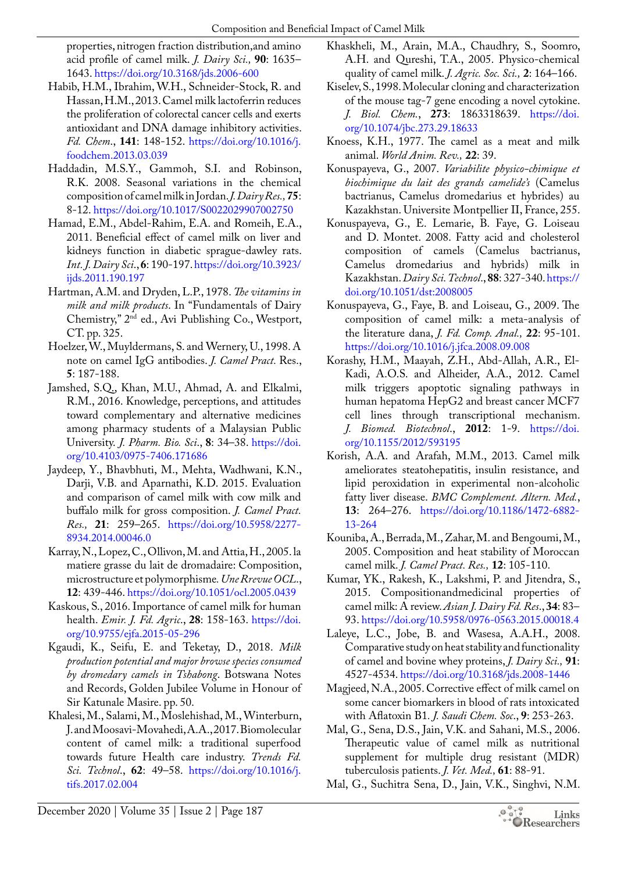properties, nitrogen fraction distribution,and amino acid profile of camel milk. *J. Dairy Sci.,* **90**: 1635– 1643.<https://doi.org/10.3168/jds.2006-600>

- <span id="page-8-20"></span>Habib, H.M., Ibrahim, W.H., Schneider-Stock, R. and Hassan, H.M., 2013. Camel milk lactoferrin reduces the proliferation of colorectal cancer cells and exerts antioxidant and DNA damage inhibitory activities. *Fd. Chem*., **141**: 148-152. [https://doi.org/10.1016/j.](https://doi.org/10.1016/j.foodchem.2013.03.039) [foodchem.2013.03.039](https://doi.org/10.1016/j.foodchem.2013.03.039)
- <span id="page-8-6"></span>Haddadin, M.S.Y., Gammoh, S.I. and Robinson, R.K. 2008. Seasonal variations in the chemical composition of camel milk in Jordan. *J. DairyRes.,***75**: 8-12.<https://doi.org/10.1017/S0022029907002750>
- <span id="page-8-16"></span>Hamad, E.M., Abdel-Rahim, E.A. and Romeih, E.A., 2011. Beneficial effect of camel milk on liver and kidneys function in diabetic sprague-dawley rats. *Int. J. Dairy Sci*., **6**: 190-197. [https://doi.org/10.3923/](https://doi.org/10.3923/ijds.2011.190.197) [ijds.2011.190.197](https://doi.org/10.3923/ijds.2011.190.197)
- <span id="page-8-9"></span>Hartman, A.M. and Dryden, L.P., 1978. *The vitamins in milk and milk products*. In "Fundamentals of Dairy Chemistry," 2nd ed., Avi Publishing Co., Westport, CT. pp. 325.
- <span id="page-8-18"></span>Hoelzer, W., Muyldermans, S. and Wernery, U., 1998. A note on camel IgG antibodies. *J. Camel Pract.* Res., **5**: 187-188.
- <span id="page-8-12"></span>Jamshed, S.Q., Khan, M.U., Ahmad, A. and Elkalmi, R.M., 2016. Knowledge, perceptions, and attitudes toward complementary and alternative medicines among pharmacy students of a Malaysian Public University. *J. Pharm. Bio. Sci*., **8**: 34–38. [https://doi.](https://doi.org/10.4103/0975-7406.171686) [org/10.4103/0975-7406.171686](https://doi.org/10.4103/0975-7406.171686)
- <span id="page-8-7"></span>Jaydeep, Y., Bhavbhuti, M., Mehta, Wadhwani, K.N., Darji, V.B. and Aparnathi, K.D. 2015. Evaluation and comparison of camel milk with cow milk and buffalo milk for gross composition. *J. Camel Pract. Res.,* **21**: 259–265. [https://doi.org/10.5958/2277-](https://doi.org/10.5958/2277-8934.2014.00046.0) [8934.2014.00046.0](https://doi.org/10.5958/2277-8934.2014.00046.0)
- <span id="page-8-14"></span>Karray, N., Lopez, C., Ollivon, M. and Attia, H., 2005. la matiere grasse du lait de dromadaire: Composition, microstructure et polymorphisme*. Une Rrevue OCL*., **12**: 439-446. <https://doi.org/10.1051/ocl.2005.0439>
- <span id="page-8-15"></span>Kaskous, S., 2016. Importance of camel milk for human health. *Emir. J. Fd. Agric*., **28**: 158-163. [https://doi.](https://doi.org/10.9755/ejfa.2015-05-296) [org/10.9755/ejfa.2015-05-296](https://doi.org/10.9755/ejfa.2015-05-296)
- <span id="page-8-0"></span>Kgaudi, K., Seifu, E. and Teketay, D., 2018. *Milk production potential and major browse species consumed by dromedary camels in Tshabong*. Botswana Notes and Records, Golden Jubilee Volume in Honour of Sir Katunale Masire. pp. 50.
- <span id="page-8-1"></span>Khalesi, M., Salami, M., Moslehishad, M., Winterburn, J. and Moosavi-Movahedi, A.A., 2017. Biomolecular content of camel milk: a traditional superfood towards future Health care industry. *Trends Fd. Sci. Technol*., **62**: 49–58. [https://doi.org/10.1016/j.](https://doi.org/10.1016/j.tifs.2017.02.004) [tifs.2017.02.004](https://doi.org/10.1016/j.tifs.2017.02.004)
- <span id="page-8-4"></span>Khaskheli, M., Arain, M.A., Chaudhry, S., Soomro, A.H. and Qureshi, T.A., 2005. Physico-chemical quality of camel milk. *J. Agric. Soc. Sci.,* **2**: 164–166.
- <span id="page-8-17"></span>Kiselev, S., 1998. Molecular cloning and characterization of the mouse tag-7 gene encoding a novel cytokine. *J. Biol. Chem.*, **273**: 1863318639. [https://doi.](https://doi.org/10.1074/jbc.273.29.18633) [org/10.1074/jbc.273.29.18633](https://doi.org/10.1074/jbc.273.29.18633)
- <span id="page-8-8"></span>Knoess, K.H., 1977. The camel as a meat and milk animal. *World Anim. Rev.,* **22**: 39.
- Konuspayeva, G., 2007. *Variabilite physico-chimique et biochimique du lait des grands camelide's* (Camelus bactrianus, Camelus dromedarius et hybrides) au Kazakhstan. Universite Montpellier II, France, 255.
- <span id="page-8-13"></span>Konuspayeva, G., E. Lemarie, B. Faye, G. Loiseau and D. Montet. 2008. Fatty acid and cholesterol composition of camels (Camelus bactrianus, Camelus dromedarius and hybrids) milk in Kazakhstan. *Dairy Sci. Technol*., **88**: 327-340. [https://](https://doi.org/10.1051/dst:2008005) [doi.org/10.1051/dst:2008005](https://doi.org/10.1051/dst:2008005)
- <span id="page-8-3"></span>Konuspayeva, G., Faye, B. and Loiseau, G., 2009. The composition of camel milk: a meta-analysis of the literature dana, *J. Fd. Comp. Anal.,* **22**: 95-101. <https://doi.org/10.1016/j.jfca.2008.09.008>
- <span id="page-8-19"></span>Korashy, H.M., Maayah, Z.H., Abd-Allah, A.R., El-Kadi, A.O.S. and Alheider, A.A., 2012. Camel milk triggers apoptotic signaling pathways in human hepatoma HepG2 and breast cancer MCF7 cell lines through transcriptional mechanism. *J. Biomed. Biotechnol*., **2012**: 1-9. [https://doi.](https://doi.org/10.1155/2012/593195) [org/10.1155/2012/593195](https://doi.org/10.1155/2012/593195)
- <span id="page-8-11"></span>Korish, A.A. and Arafah, M.M., 2013. Camel milk ameliorates steatohepatitis, insulin resistance, and lipid peroxidation in experimental non-alcoholic fatty liver disease. *BMC Complement. Altern. Med.*, **13**: 264–276. [https://doi.org/10.1186/1472-6882-](https://doi.org/10.1186/1472-6882-13-264) [13-264](https://doi.org/10.1186/1472-6882-13-264)
- <span id="page-8-10"></span>Kouniba, A., Berrada, M., Zahar, M. and Bengoumi, M., 2005. Composition and heat stability of Moroccan camel milk. *J. Camel Pract. Res.,* **12**: 105-110.
- <span id="page-8-2"></span>Kumar, YK., Rakesh, K., Lakshmi, P. and Jitendra, S., 2015. Compositionandmedicinal properties of camel milk: A review. *Asian J. Dairy Fd. Res*., **34**: 83– 93. <https://doi.org/10.5958/0976-0563.2015.00018.4>
- Laleye, L.C., Jobe, B. and Wasesa, A.A.H., 2008. Comparative study on heat stability and functionality of camel and bovine whey proteins, *J. Dairy Sci.,* **91**: 4527-4534.<https://doi.org/10.3168/jds.2008-1446>
- <span id="page-8-5"></span>Magjeed, N.A., 2005. Corrective effect of milk camel on some cancer biomarkers in blood of rats intoxicated with Aflatoxin B1*. J. Saudi Chem. Soc*., **9**: 253-263.
- <span id="page-8-22"></span>Mal, G., Sena, D.S., Jain, V.K. and Sahani, M.S., 2006. Therapeutic value of camel milk as nutritional supplement for multiple drug resistant (MDR) tuberculosis patients. *J. Vet. Med.,* **61**: 88-91.
- <span id="page-8-21"></span>Mal, G., Suchitra Sena, D., Jain, V.K., Singhvi, N.M.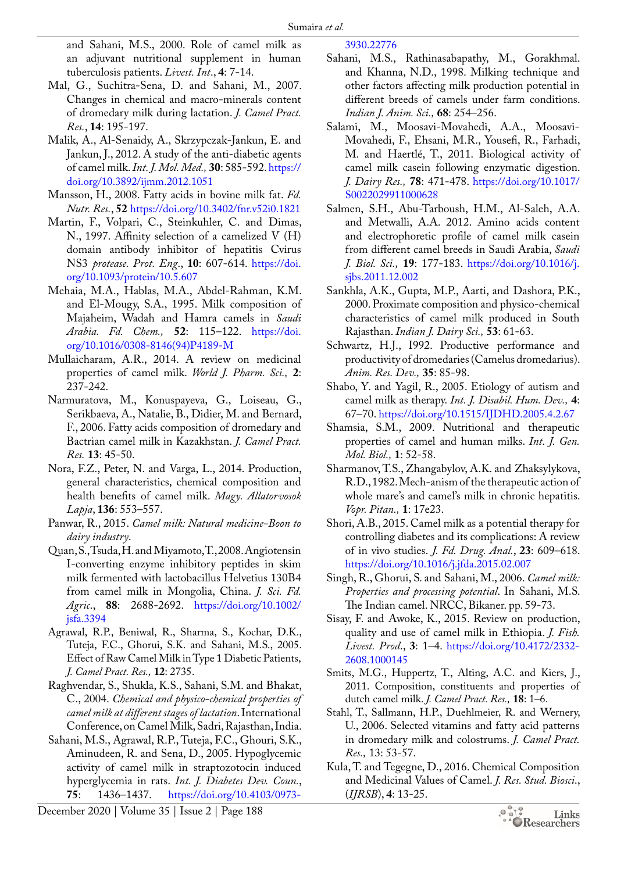and Sahani, M.S., 2000. Role of camel milk as an adjuvant nutritional supplement in human tuberculosis patients. *Livest. Int*., **4**: 7-14.

- <span id="page-9-1"></span>Mal, G., Suchitra-Sena, D. and Sahani, M., 2007. Changes in chemical and macro-minerals content of dromedary milk during lactation. *J. Camel Pract. Res.*, **14**: 195-197.
- <span id="page-9-7"></span>Malik, A., Al-Senaidy, A., Skrzypczak-Jankun, E. and Jankun, J., 2012. A study of the anti-diabetic agents of camel milk. *Int. J. Mol. Med.,* **30**: 585-592. [https://](https://doi.org/10.3892/ijmm.2012.1051) [doi.org/10.3892/ijmm.2012.1051](https://doi.org/10.3892/ijmm.2012.1051)
- <span id="page-9-3"></span>Mansson, H., 2008. Fatty acids in bovine milk fat. *Fd. Nutr. Res.*, **52** <https://doi.org/10.3402/fnr.v52i0.1821>
- <span id="page-9-8"></span>Martin, F., Volpari, C., Steinkuhler, C. and Dimas, N., 1997. Affinity selection of a camelized V (H) domain antibody inhibitor of hepatitis Cvirus NS3 *protease. Prot. Eng*., **10**: 607-614. [https://doi.](https://doi.org/10.1093/protein/10.5.607) [org/10.1093/protein/10.5.607](https://doi.org/10.1093/protein/10.5.607)
- <span id="page-9-0"></span>Mehaia, M.A., Hablas, M.A., Abdel-Rahman, K.M. and El-Mougy, S.A., 1995. Milk composition of Majaheim, Wadah and Hamra camels in *Saudi Arabia. Fd. Chem.,* **52**: 115–122. [https://doi.](https://doi.org/10.1016/0308-8146(94)P4189-M) [org/10.1016/0308-8146\(94\)P4189-M](https://doi.org/10.1016/0308-8146(94)P4189-M)
- Mullaicharam, A.R., 2014. A review on medicinal properties of camel milk. *World J. Pharm. Sci.,* **2**: 237-242.
- <span id="page-9-2"></span>Narmuratova, M., Konuspayeva, G., Loiseau, G., Serikbaeva, A., Natalie, B., Didier, M. and Bernard, F., 2006. Fatty acids composition of dromedary and Bactrian camel milk in Kazakhstan. *J. Camel Pract. Res.* **13**: 45-50.
- <span id="page-9-5"></span>Nora, F.Z., Peter, N. and Varga, L., 2014. Production, general characteristics, chemical composition and health benefits of camel milk. *Magy. Allatorvosok Lapja*, **136**: 553–557.
- <span id="page-9-4"></span>Panwar, R., 2015. *Camel milk: Natural medicine-Boon to dairy industry*.
- Quan, S., Tsuda, H. and Miyamoto, T., 2008. Angiotensin I-converting enzyme inhibitory peptides in skim milk fermented with lactobacillus Helvetius 130B4 from camel milk in Mongolia, China. *J. Sci. Fd. Agric*., **88**: 2688-2692. [https://doi.org/10.1002/](https://doi.org/10.1002/jsfa.3394) [jsfa.3394](https://doi.org/10.1002/jsfa.3394)
- <span id="page-9-6"></span>Agrawal, R.P., Beniwal, R., Sharma, S., Kochar, D.K., Tuteja, F.C., Ghorui, S.K. and Sahani, M.S., 2005. Effect of Raw Camel Milk in Type 1 Diabetic Patients, *J. Camel Pract. Res.,* **12**: 2735.
- Raghvendar, S., Shukla, K.S., Sahani, S.M. and Bhakat, C., 2004. *Chemical and physico-chemical properties of camel milk at different stages of lactation*. International Conference, on Camel Milk, Sadri, Rajasthan, India.
- Sahani, M.S., Agrawal, R.P., Tuteja, F.C., Ghouri, S.K., Aminudeen, R. and Sena, D., 2005. Hypoglycemic activity of camel milk in straptozotocin induced hyperglycemia in rats. *Int. J. Diabetes Dev. Coun.*, **75**: 1436–1437. [https://doi.org/10.4103/0973-](https://doi.org/10.4103/0973-3930.22776)

[3930.22776](https://doi.org/10.4103/0973-3930.22776)

- Sahani, M.S., Rathinasabapathy, M., Gorakhmal. and Khanna, N.D., 1998. Milking technique and other factors affecting milk production potential in different breeds of camels under farm conditions. *Indian J. Anim. Sci.,* **68**: 254–256.
- Salami, M., Moosavi-Movahedi, A.A., Moosavi-Movahedi, F., Ehsani, M.R., Yousefi, R., Farhadi, M. and Haertlé, T., 2011. Biological activity of camel milk casein following enzymatic digestion. *J. Dairy Res.,* **78**: 471-478. [https://doi.org/10.1017/](https://doi.org/10.1017/S0022029911000628) [S0022029911000628](https://doi.org/10.1017/S0022029911000628)
- Salmen, S.H., Abu-Tarboush, H.M., Al-Saleh, A.A. and Metwalli, A.A. 2012. Amino acids content and electrophoretic profile of camel milk casein from different camel breeds in Saudi Arabia, *Saudi J. Biol. Sci.,* **19**: 177-183. [https://doi.org/10.1016/j.](https://doi.org/10.1016/j.sjbs.2011.12.002) [sjbs.2011.12.002](https://doi.org/10.1016/j.sjbs.2011.12.002)
- Sankhla, A.K., Gupta, M.P., Aarti, and Dashora, P.K., 2000. Proximate composition and physico-chemical characteristics of camel milk produced in South Rajasthan. *Indian J. Dairy Sci.,* **53**: 61-63.
- Schwartz, H.J., I992. Productive performance and productivity of dromedaries (Camelus dromedarius). *Anim. Res. Dev.,* **35**: 85-98.
- Shabo, Y. and Yagil, R., 2005. Etiology of autism and camel milk as therapy. *Int. J. Disabil. Hum. Dev.,* **4**: 67–70.<https://doi.org/10.1515/IJDHD.2005.4.2.67>
- Shamsia, S.M., 2009. Nutritional and therapeutic properties of camel and human milks. *Int. J. Gen. Mol. Biol.,* **1**: 52-58.
- Sharmanov, T.S., Zhangabylov, A.K. and Zhaksylykova, R.D., 1982. Mech-anism of the therapeutic action of whole mare's and camel's milk in chronic hepatitis. *Vopr. Pitan.,* **1**: 17e23.
- Shori, A.B., 2015. Camel milk as a potential therapy for controlling diabetes and its complications: A review of in vivo studies. *J. Fd. Drug. Anal.*, **23**: 609–618. <https://doi.org/10.1016/j.jfda.2015.02.007>
- Singh, R., Ghorui, S. and Sahani, M., 2006. *Camel milk: Properties and processing potential*. In Sahani, M.S. The Indian camel. NRCC, Bikaner. pp. 59-73.
- Sisay, F. and Awoke, K., 2015. Review on production, quality and use of camel milk in Ethiopia. *J. Fish. Livest. Prod*., **3**: 1–4. [https://doi.org/10.4172/2332-](https://doi.org/10.4172/2332-2608.1000145) [2608.1000145](https://doi.org/10.4172/2332-2608.1000145)
- Smits, M.G., Huppertz, T., Alting, A.C. and Kiers, J., 2011. Composition, constituents and properties of dutch camel milk. *J. Camel Pract. Res.,* **18**: 1–6.
- Stahl, T., Sallmann, H.P., Duehlmeier, R. and Wernery, U., 2006. Selected vitamins and fatty acid patterns in dromedary milk and colostrums. *J. Camel Pract. Res.,* 13: 53-57.
- <span id="page-9-9"></span>Kula, T. and Tegegne, D., 2016. Chemical Composition and Medicinal Values of Camel. *J. Res. Stud. Biosci*., (*IJRSB*), **4**: 13-25.